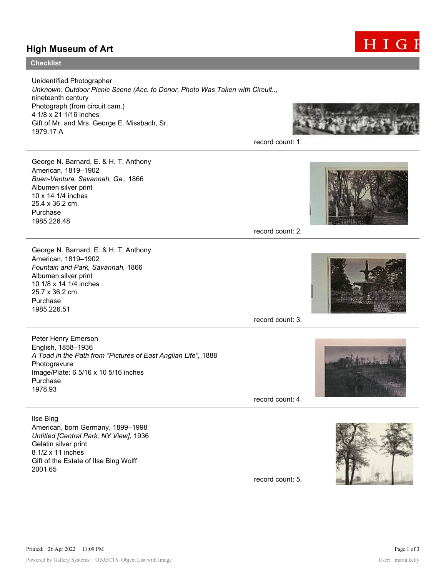## High Museum of Art



## **Checklist**

Unidentified Photographer Unknown: Outdoor Picnic Scene (Acc. to Donor, Photo Was Taken with Circuit.., nineteenth century Photograph (from circuit cam.) 4 1/8 x 21 1/16 inches Gift of Mr. and Mrs. George E. Missbach, Sr. 1979.17 A



record count: 1.

George N. Barnard, E. & H. T. Anthony American, 1819–1902 Buen-Ventura, Savannah, Ga., 1866 Albumen silver print 10 x 14 1/4 inches 25.4 x 36.2 cm. Purchase 1985.226.48

George N. Barnard, E. & H. T. Anthony

A Toad in the Path from "Pictures of East Anglian Life", 1888

Fountain and Park, Savannah, 1866

Image/Plate: 6 5/16 x 10 5/16 inches

American, born Germany, 1899–1998 Untitled [Central Park, NY View], 1936

Gift of the Estate of Ilse Bing Wolff

American, 1819–1902

Albumen silver print 10 1/8 x 14 1/4 inches 25.7 x 36.2 cm. Purchase 1985.226.51

Peter Henry Emerson English, 1858–1936

Photogravure

Purchase 1978.93

Ilse Bing

2001.65

Gelatin silver print 8 1/2 x 11 inches

record count: 2.



record count: 3.



record count: 4.



record count: 5.

Printed: 26 Apr 2022 11:09 PM Page 1 of 3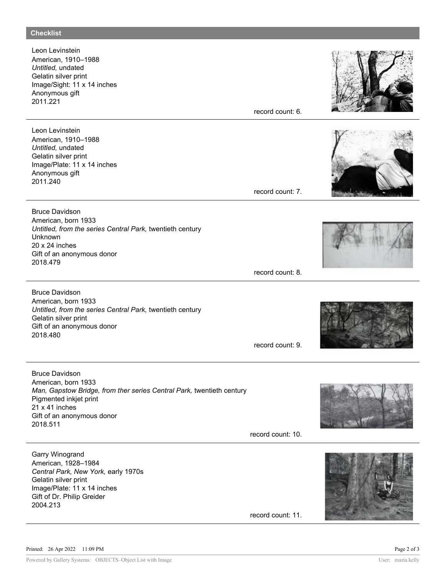Leon Levinstein American, 1910–1988 Untitled, undated Gelatin silver print Image/Sight: 11 x 14 inches Anonymous gift 2011.221

Leon Levinstein American, 1910–1988 Untitled, undated Gelatin silver print Image/Plate: 11 x 14 inches Anonymous gift 2011.240

Bruce Davidson American, born 1933 Untitled, from the series Central Park, twentieth century Unknown 20 x 24 inches Gift of an anonymous donor 2018.479

Bruce Davidson American, born 1933 Untitled, from the series Central Park, twentieth century Gelatin silver print Gift of an anonymous donor 2018.480

Bruce Davidson American, born 1933 Man, Gapstow Bridge, from ther series Central Park, twentieth century Pigmented inkjet print 21 x 41 inches Gift of an anonymous donor 2018.511

record count: 10.

record count: 6.

record count: 7.

record count: 8.

record count: 9.













record count: 11.

Garry Winogrand American, 1928–1984

Gelatin silver print

2004.213

Central Park, New York, early 1970s

Image/Plate: 11 x 14 inches Gift of Dr. Philip Greider